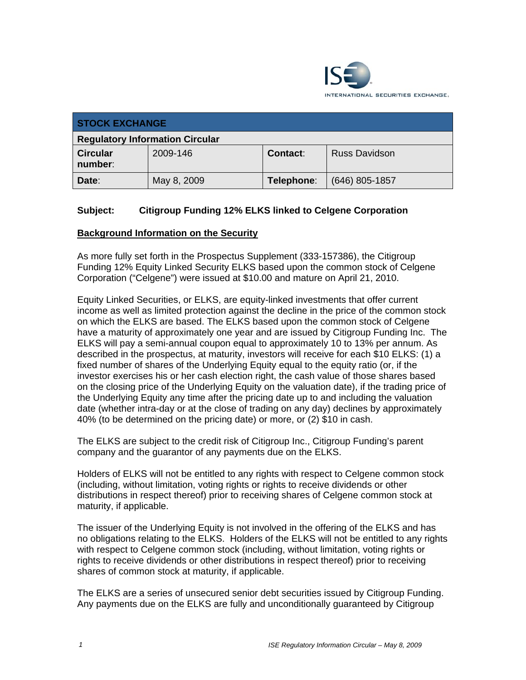

| <b>STOCK EXCHANGE</b>                  |             |            |                      |
|----------------------------------------|-------------|------------|----------------------|
| <b>Regulatory Information Circular</b> |             |            |                      |
| <b>Circular</b><br>number:             | 2009-146    | Contact:   | <b>Russ Davidson</b> |
| Date:                                  | May 8, 2009 | Telephone: | $(646)$ 805-1857     |

## **Subject: Citigroup Funding 12% ELKS linked to Celgene Corporation**

### **Background Information on the Security**

As more fully set forth in the Prospectus Supplement (333-157386), the Citigroup Funding 12% Equity Linked Security ELKS based upon the common stock of Celgene Corporation ("Celgene") were issued at \$10.00 and mature on April 21, 2010.

Equity Linked Securities, or ELKS, are equity-linked investments that offer current income as well as limited protection against the decline in the price of the common stock on which the ELKS are based. The ELKS based upon the common stock of Celgene have a maturity of approximately one year and are issued by Citigroup Funding Inc. The ELKS will pay a semi-annual coupon equal to approximately 10 to 13% per annum. As described in the prospectus, at maturity, investors will receive for each \$10 ELKS: (1) a fixed number of shares of the Underlying Equity equal to the equity ratio (or, if the investor exercises his or her cash election right, the cash value of those shares based on the closing price of the Underlying Equity on the valuation date), if the trading price of the Underlying Equity any time after the pricing date up to and including the valuation date (whether intra-day or at the close of trading on any day) declines by approximately 40% (to be determined on the pricing date) or more, or (2) \$10 in cash.

The ELKS are subject to the credit risk of Citigroup Inc., Citigroup Funding's parent company and the guarantor of any payments due on the ELKS.

Holders of ELKS will not be entitled to any rights with respect to Celgene common stock (including, without limitation, voting rights or rights to receive dividends or other distributions in respect thereof) prior to receiving shares of Celgene common stock at maturity, if applicable.

The issuer of the Underlying Equity is not involved in the offering of the ELKS and has no obligations relating to the ELKS. Holders of the ELKS will not be entitled to any rights with respect to Celgene common stock (including, without limitation, voting rights or rights to receive dividends or other distributions in respect thereof) prior to receiving shares of common stock at maturity, if applicable.

The ELKS are a series of unsecured senior debt securities issued by Citigroup Funding. Any payments due on the ELKS are fully and unconditionally guaranteed by Citigroup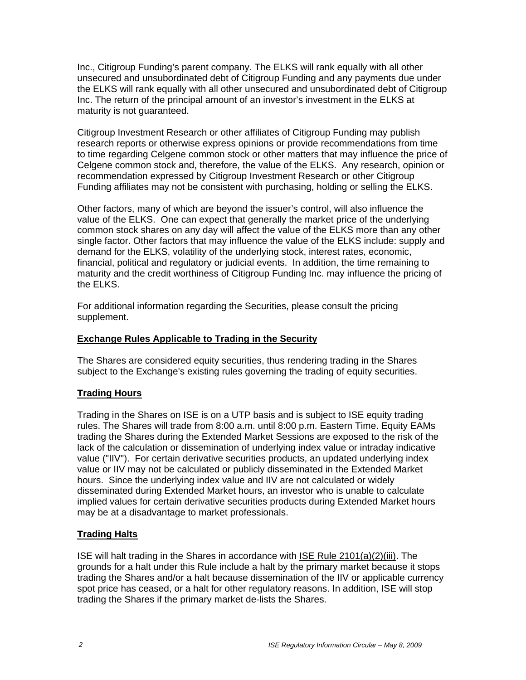Inc., Citigroup Funding's parent company. The ELKS will rank equally with all other unsecured and unsubordinated debt of Citigroup Funding and any payments due under the ELKS will rank equally with all other unsecured and unsubordinated debt of Citigroup Inc. The return of the principal amount of an investor's investment in the ELKS at maturity is not quaranteed.

Citigroup Investment Research or other affiliates of Citigroup Funding may publish research reports or otherwise express opinions or provide recommendations from time to time regarding Celgene common stock or other matters that may influence the price of Celgene common stock and, therefore, the value of the ELKS. Any research, opinion or recommendation expressed by Citigroup Investment Research or other Citigroup Funding affiliates may not be consistent with purchasing, holding or selling the ELKS.

Other factors, many of which are beyond the issuer's control, will also influence the value of the ELKS. One can expect that generally the market price of the underlying common stock shares on any day will affect the value of the ELKS more than any other single factor. Other factors that may influence the value of the ELKS include: supply and demand for the ELKS, volatility of the underlying stock, interest rates, economic, financial, political and regulatory or judicial events. In addition, the time remaining to maturity and the credit worthiness of Citigroup Funding Inc. may influence the pricing of the ELKS.

For additional information regarding the Securities, please consult the pricing supplement.

## **Exchange Rules Applicable to Trading in the Security**

The Shares are considered equity securities, thus rendering trading in the Shares subject to the Exchange's existing rules governing the trading of equity securities.

# **Trading Hours**

Trading in the Shares on ISE is on a UTP basis and is subject to ISE equity trading rules. The Shares will trade from 8:00 a.m. until 8:00 p.m. Eastern Time. Equity EAMs trading the Shares during the Extended Market Sessions are exposed to the risk of the lack of the calculation or dissemination of underlying index value or intraday indicative value ("IIV"). For certain derivative securities products, an updated underlying index value or IIV may not be calculated or publicly disseminated in the Extended Market hours. Since the underlying index value and IIV are not calculated or widely disseminated during Extended Market hours, an investor who is unable to calculate implied values for certain derivative securities products during Extended Market hours may be at a disadvantage to market professionals.

# **Trading Halts**

ISE will halt trading in the Shares in accordance with ISE Rule 2101(a)(2)(iii). The grounds for a halt under this Rule include a halt by the primary market because it stops trading the Shares and/or a halt because dissemination of the IIV or applicable currency spot price has ceased, or a halt for other regulatory reasons. In addition, ISE will stop trading the Shares if the primary market de-lists the Shares.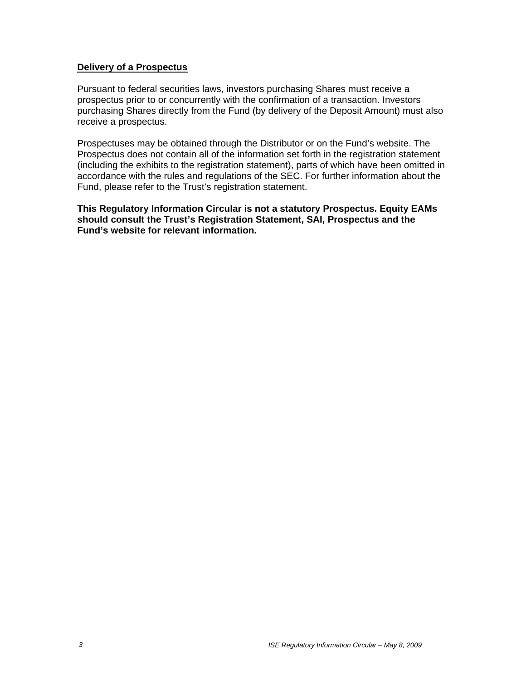#### **Delivery of a Prospectus**

Pursuant to federal securities laws, investors purchasing Shares must receive a prospectus prior to or concurrently with the confirmation of a transaction. Investors purchasing Shares directly from the Fund (by delivery of the Deposit Amount) must also receive a prospectus.

Prospectuses may be obtained through the Distributor or on the Fund's website. The Prospectus does not contain all of the information set forth in the registration statement (including the exhibits to the registration statement), parts of which have been omitted in accordance with the rules and regulations of the SEC. For further information about the Fund, please refer to the Trust's registration statement.

**This Regulatory Information Circular is not a statutory Prospectus. Equity EAMs should consult the Trust's Registration Statement, SAI, Prospectus and the Fund's website for relevant information.**